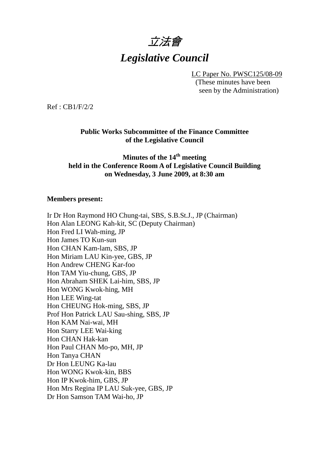

LC Paper No. PWSC125/08-09 (These minutes have been seen by the Administration)

Ref : CB1/F/2/2

**Public Works Subcommittee of the Finance Committee of the Legislative Council** 

**Minutes of the 14th meeting held in the Conference Room A of Legislative Council Building on Wednesday, 3 June 2009, at 8:30 am** 

#### **Members present:**

Ir Dr Hon Raymond HO Chung-tai, SBS, S.B.St.J., JP (Chairman) Hon Alan LEONG Kah-kit, SC (Deputy Chairman) Hon Fred LI Wah-ming, JP Hon James TO Kun-sun Hon CHAN Kam-lam, SBS, JP Hon Miriam LAU Kin-yee, GBS, JP Hon Andrew CHENG Kar-foo Hon TAM Yiu-chung, GBS, JP Hon Abraham SHEK Lai-him, SBS, JP Hon WONG Kwok-hing, MH Hon LEE Wing-tat Hon CHEUNG Hok-ming, SBS, JP Prof Hon Patrick LAU Sau-shing, SBS, JP Hon KAM Nai-wai, MH Hon Starry LEE Wai-king Hon CHAN Hak-kan Hon Paul CHAN Mo-po, MH, JP Hon Tanya CHAN Dr Hon LEUNG Ka-lau Hon WONG Kwok-kin, BBS Hon IP Kwok-him, GBS, JP Hon Mrs Regina IP LAU Suk-yee, GBS, JP Dr Hon Samson TAM Wai-ho, JP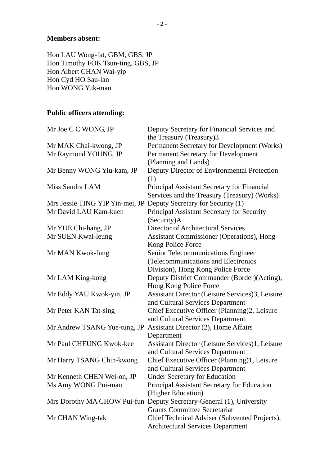#### **Members absent:**

Hon LAU Wong-fat, GBM, GBS, JP Hon Timothy FOK Tsun-ting, GBS, JP Hon Albert CHAN Wai-yip Hon Cyd HO Sau-lan Hon WONG Yuk-man

# **Public officers attending:**

| Mr Joe C C WONG, JP                          | Deputy Secretary for Financial Services and                          |
|----------------------------------------------|----------------------------------------------------------------------|
|                                              | the Treasury (Treasury)3                                             |
| Mr MAK Chai-kwong, JP                        | Permanent Secretary for Development (Works)                          |
| Mr Raymond YOUNG, JP                         | Permanent Secretary for Development                                  |
|                                              | (Planning and Lands)                                                 |
| Mr Benny WONG Yiu-kam, JP<br>Miss Sandra LAM | Deputy Director of Environmental Protection                          |
|                                              | (1)                                                                  |
|                                              | Principal Assistant Secretary for Financial                          |
|                                              | Services and the Treasury (Treasury) (Works)                         |
| Mrs Jessie TING YIP Yin-mei, JP              | Deputy Secretary for Security (1)                                    |
| Mr David LAU Kam-kuen                        | Principal Assistant Secretary for Security                           |
|                                              | (Security)A                                                          |
| Mr YUE Chi-hang, JP                          | <b>Director of Architectural Services</b>                            |
| Mr SUEN Kwai-leung                           | <b>Assistant Commissioner (Operations), Hong</b>                     |
|                                              | Kong Police Force                                                    |
| Mr MAN Kwok-fung                             | <b>Senior Telecommunications Engineer</b>                            |
|                                              | (Telecommunications and Electronics                                  |
|                                              | Division), Hong Kong Police Force                                    |
| Mr LAM King-kong                             | Deputy District Commander (Border)(Acting),                          |
|                                              | Hong Kong Police Force                                               |
| Mr Eddy YAU Kwok-yin, JP                     | Assistant Director (Leisure Services)3, Leisure                      |
|                                              | and Cultural Services Department                                     |
| Mr Peter KAN Tat-sing                        | Chief Executive Officer (Planning)2, Leisure                         |
|                                              | and Cultural Services Department                                     |
| Mr Andrew TSANG Yue-tung, JP                 | Assistant Director (2), Home Affairs                                 |
|                                              | Department                                                           |
| Mr Paul CHEUNG Kwok-kee                      | Assistant Director (Leisure Services)1, Leisure                      |
|                                              | and Cultural Services Department                                     |
| Mr Harry TSANG Chin-kwong                    | Chief Executive Officer (Planning)1, Leisure                         |
|                                              | and Cultural Services Department                                     |
| Mr Kenneth CHEN Wei-on, JP                   | <b>Under Secretary for Education</b>                                 |
| Ms Amy WONG Pui-man                          | Principal Assistant Secretary for Education                          |
|                                              | (Higher Education)                                                   |
|                                              | Mrs Dorothy MA CHOW Pui-fun Deputy Secretary-General (1), University |
|                                              | <b>Grants Committee Secretariat</b>                                  |
| Mr CHAN Wing-tak                             | Chief Technical Adviser (Subvented Projects),                        |
|                                              | <b>Architectural Services Department</b>                             |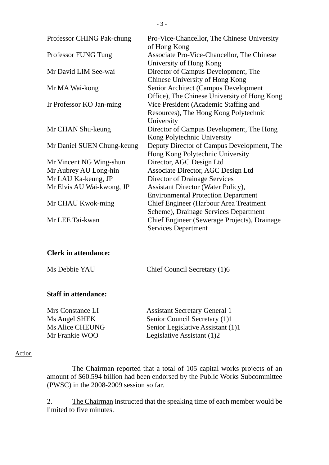| Professor CHING Pak-chung   | Pro-Vice-Chancellor, The Chinese University<br>of Hong Kong                                  |
|-----------------------------|----------------------------------------------------------------------------------------------|
| Professor FUNG Tung         | Associate Pro-Vice-Chancellor, The Chinese<br>University of Hong Kong                        |
| Mr David LIM See-wai        | Director of Campus Development, The<br>Chinese University of Hong Kong                       |
| Mr MA Wai-kong              | Senior Architect (Campus Development<br>Office), The Chinese University of Hong Kong         |
| Ir Professor KO Jan-ming    | Vice President (Academic Staffing and<br>Resources), The Hong Kong Polytechnic<br>University |
| Mr CHAN Shu-keung           | Director of Campus Development, The Hong<br>Kong Polytechnic University                      |
| Mr Daniel SUEN Chung-keung  | Deputy Director of Campus Development, The<br>Hong Kong Polytechnic University               |
| Mr Vincent NG Wing-shun     | Director, AGC Design Ltd                                                                     |
| Mr Aubrey AU Long-hin       | Associate Director, AGC Design Ltd                                                           |
| Mr LAU Ka-keung, JP         | Director of Drainage Services                                                                |
| Mr Elvis AU Wai-kwong, JP   | <b>Assistant Director (Water Policy),</b><br><b>Environmental Protection Department</b>      |
| Mr CHAU Kwok-ming           | Chief Engineer (Harbour Area Treatment<br>Scheme), Drainage Services Department              |
| Mr LEE Tai-kwan             | Chief Engineer (Sewerage Projects), Drainage<br><b>Services Department</b>                   |
| <b>Clerk in attendance:</b> |                                                                                              |
| Ms Debbie YAU               | Chief Council Secretary (1)6                                                                 |

### **Staff in attendance:**

| <b>Assistant Secretary General 1</b> |
|--------------------------------------|
| Senior Council Secretary (1)1        |
| Senior Legislative Assistant (1)1    |
| Legislative Assistant (1)2           |
|                                      |

#### Action

The Chairman reported that a total of 105 capital works projects of an amount of \$60.594 billion had been endorsed by the Public Works Subcommittee (PWSC) in the 2008-2009 session so far.

2. The Chairman instructed that the speaking time of each member would be limited to five minutes.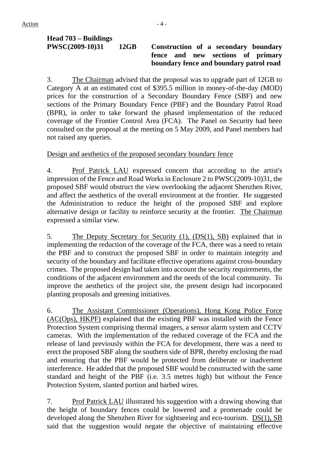# **Head 703 – Buildings**

#### **PWSC(2009-10)31 12GB Construction of a secondary boundary fence and new sections of primary boundary fence and boundary patrol road**

3. The Chairman advised that the proposal was to upgrade part of 12GB to Category A at an estimated cost of \$395.5 million in money-of-the-day (MOD) prices for the construction of a Secondary Boundary Fence (SBF) and new sections of the Primary Boundary Fence (PBF) and the Boundary Patrol Road (BPR), in order to take forward the phased implementation of the reduced coverage of the Frontier Control Area (FCA). The Panel on Security had been consulted on the proposal at the meeting on 5 May 2009, and Panel members had not raised any queries.

Design and aesthetics of the proposed secondary boundary fence

4. Prof Patrick LAU expressed concern that according to the artist's impression of the Fence and Road Works in Enclosure 2 to PWSC(2009-10)31, the proposed SBF would obstruct the view overlooking the adjacent Shenzhen River, and affect the aesthetics of the overall environment at the frontier. He suggested the Administration to reduce the height of the proposed SBF and explore alternative design or facility to reinforce security at the frontier. The Chairman expressed a similar view.

5. The Deputy Secretary for Security (1), (DS(1), SB) explained that in implementing the reduction of the coverage of the FCA, there was a need to retain the PBF and to construct the proposed SBF in order to maintain integrity and security of the boundary and facilitate effective operations against cross-boundary crimes. The proposed design had taken into account the security requirements, the conditions of the adjacent environment and the needs of the local community. To improve the aesthetics of the project site, the present design had incorporated planting proposals and greening initiatives.

6. The Assistant Commissioner (Operations), Hong Kong Police Force (AC(Ops), HKPF) explained that the existing PBF was installed with the Fence Protection System comprising thermal imagers, a sensor alarm system and CCTV cameras. With the implementation of the reduced coverage of the FCA and the release of land previously within the FCA for development, there was a need to erect the proposed SBF along the southern side of BPR, thereby enclosing the road and ensuring that the PBF would be protected from deliberate or inadvertent interference. He added that the proposed SBF would be constructed with the same standard and height of the PBF (i.e. 3.5 metres high) but without the Fence Protection System, slanted portion and barbed wires.

7. Prof Patrick LAU illustrated his suggestion with a drawing showing that the height of boundary fences could be lowered and a promenade could be developed along the Shenzhen River for sightseeing and eco-tourism. DS(1), SB said that the suggestion would negate the objective of maintaining effective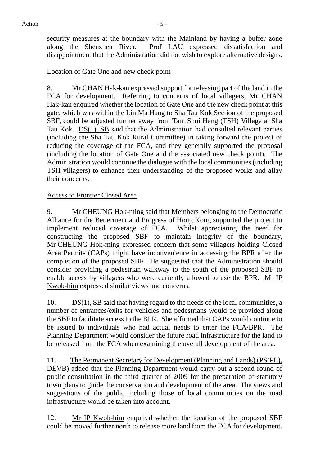security measures at the boundary with the Mainland by having a buffer zone along the Shenzhen River. Prof LAU expressed dissatisfaction and disappointment that the Administration did not wish to explore alternative designs.

#### Location of Gate One and new check point

8. Mr CHAN Hak-kan expressed support for releasing part of the land in the FCA for development. Referring to concerns of local villagers, Mr CHAN Hak-kan enquired whether the location of Gate One and the new check point at this gate, which was within the Lin Ma Hang to Sha Tau Kok Section of the proposed SBF, could be adjusted further away from Tam Shui Hang (TSH) Village at Sha Tau Kok. DS(1), SB said that the Administration had consulted relevant parties (including the Sha Tau Kok Rural Committee) in taking forward the project of reducing the coverage of the FCA, and they generally supported the proposal (including the location of Gate One and the associated new check point). The Administration would continue the dialogue with the local communities (including TSH villagers) to enhance their understanding of the proposed works and allay their concerns.

#### Access to Frontier Closed Area

9. Mr CHEUNG Hok-ming said that Members belonging to the Democratic Alliance for the Betterment and Progress of Hong Kong supported the project to implement reduced coverage of FCA. Whilst appreciating the need for constructing the proposed SBF to maintain integrity of the boundary, Mr CHEUNG Hok-ming expressed concern that some villagers holding Closed Area Permits (CAPs) might have inconvenience in accessing the BPR after the completion of the proposed SBF. He suggested that the Administration should consider providing a pedestrian walkway to the south of the proposed SBF to enable access by villagers who were currently allowed to use the BPR. Mr IP Kwok-him expressed similar views and concerns.

10. DS(1), SB said that having regard to the needs of the local communities, a number of entrances/exits for vehicles and pedestrians would be provided along the SBF to facilitate access to the BPR. She affirmed that CAPs would continue to be issued to individuals who had actual needs to enter the FCA/BPR. The Planning Department would consider the future road infrastructure for the land to be released from the FCA when examining the overall development of the area.

11. The Permanent Secretary for Development (Planning and Lands) (PS(PL), DEVB) added that the Planning Department would carry out a second round of public consultation in the third quarter of 2009 for the preparation of statutory town plans to guide the conservation and development of the area. The views and suggestions of the public including those of local communities on the road infrastructure would be taken into account.

12. Mr IP Kwok-him enquired whether the location of the proposed SBF could be moved further north to release more land from the FCA for development.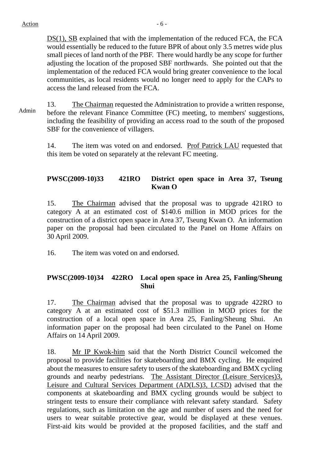DS(1), SB explained that with the implementation of the reduced FCA, the FCA would essentially be reduced to the future BPR of about only 3.5 metres wide plus small pieces of land north of the PBF. There would hardly be any scope for further adjusting the location of the proposed SBF northwards. She pointed out that the implementation of the reduced FCA would bring greater convenience to the local communities, as local residents would no longer need to apply for the CAPs to access the land released from the FCA.

Admin 13. The Chairman requested the Administration to provide a written response, before the relevant Finance Committee (FC) meeting, to members' suggestions, including the feasibility of providing an access road to the south of the proposed SBF for the convenience of villagers.

> 14. The item was voted on and endorsed. Prof Patrick LAU requested that this item be voted on separately at the relevant FC meeting.

#### **PWSC(2009-10)33 421RO District open space in Area 37, Tseung Kwan O**

15. The Chairman advised that the proposal was to upgrade 421RO to category A at an estimated cost of \$140.6 million in MOD prices for the construction of a district open space in Area 37, Tseung Kwan O. An information paper on the proposal had been circulated to the Panel on Home Affairs on 30 April 2009.

16. The item was voted on and endorsed.

#### **PWSC(2009-10)34 422RO Local open space in Area 25, Fanling/Sheung Shui**

17. The Chairman advised that the proposal was to upgrade 422RO to category A at an estimated cost of \$51.3 million in MOD prices for the construction of a local open space in Area 25, Fanling/Sheung Shui. An information paper on the proposal had been circulated to the Panel on Home Affairs on 14 April 2009.

18. Mr IP Kwok-him said that the North District Council welcomed the proposal to provide facilities for skateboarding and BMX cycling. He enquired about the measures to ensure safety to users of the skateboarding and BMX cycling grounds and nearby pedestrians. The Assistant Director (Leisure Services)3, Leisure and Cultural Services Department (AD(LS)3, LCSD) advised that the components at skateboarding and BMX cycling grounds would be subject to stringent tests to ensure their compliance with relevant safety standard. Safety regulations, such as limitation on the age and number of users and the need for users to wear suitable protective gear, would be displayed at these venues. First-aid kits would be provided at the proposed facilities, and the staff and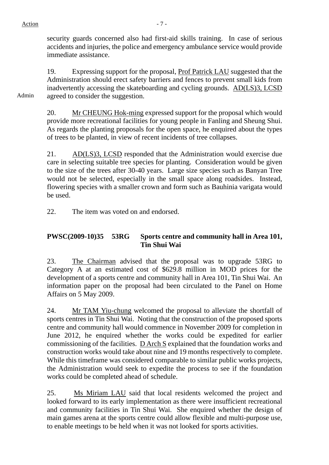security guards concerned also had first-aid skills training. In case of serious accidents and injuries, the police and emergency ambulance service would provide immediate assistance.

19. Expressing support for the proposal, Prof Patrick LAU suggested that the Administration should erect safety barriers and fences to prevent small kids from inadvertently accessing the skateboarding and cycling grounds. AD(LS)3, LCSD agreed to consider the suggestion.

Admin

20. Mr CHEUNG Hok-ming expressed support for the proposal which would provide more recreational facilities for young people in Fanling and Sheung Shui. As regards the planting proposals for the open space, he enquired about the types of trees to be planted, in view of recent incidents of tree collapses.

21. AD(LS)3, LCSD responded that the Administration would exercise due care in selecting suitable tree species for planting. Consideration would be given to the size of the trees after 30-40 years. Large size species such as Banyan Tree would not be selected, especially in the small space along roadsides. Instead, flowering species with a smaller crown and form such as Bauhinia varigata would be used.

22. The item was voted on and endorsed.

# **PWSC(2009-10)35 53RG Sports centre and community hall in Area 101, Tin Shui Wai**

23. The Chairman advised that the proposal was to upgrade 53RG to Category A at an estimated cost of \$629.8 million in MOD prices for the development of a sports centre and community hall in Area 101, Tin Shui Wai. An information paper on the proposal had been circulated to the Panel on Home Affairs on 5 May 2009.

24. Mr TAM Yiu-chung welcomed the proposal to alleviate the shortfall of sports centres in Tin Shui Wai. Noting that the construction of the proposed sports centre and community hall would commence in November 2009 for completion in June 2012, he enquired whether the works could be expedited for earlier commissioning of the facilities. D Arch S explained that the foundation works and construction works would take about nine and 19 months respectively to complete. While this timeframe was considered comparable to similar public works projects, the Administration would seek to expedite the process to see if the foundation works could be completed ahead of schedule.

25. Ms Miriam LAU said that local residents welcomed the project and looked forward to its early implementation as there were insufficient recreational and community facilities in Tin Shui Wai. She enquired whether the design of main games arena at the sports centre could allow flexible and multi-purpose use, to enable meetings to be held when it was not looked for sports activities.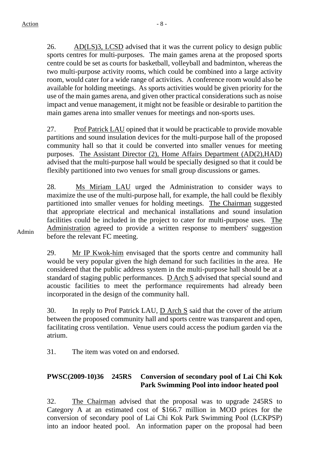26. AD(LS)3, LCSD advised that it was the current policy to design public sports centres for multi-purposes. The main games arena at the proposed sports centre could be set as courts for basketball, volleyball and badminton, whereas the two multi-purpose activity rooms, which could be combined into a large activity room, would cater for a wide range of activities. A conference room would also be available for holding meetings. As sports activities would be given priority for the use of the main games arena, and given other practical considerations such as noise impact and venue management, it might not be feasible or desirable to partition the main games arena into smaller venues for meetings and non-sports uses.

27. Prof Patrick LAU opined that it would be practicable to provide movable partitions and sound insulation devices for the multi-purpose hall of the proposed community hall so that it could be converted into smaller venues for meeting purposes. The Assistant Director (2), Home Affairs Department (AD(2),HAD) advised that the multi-purpose hall would be specially designed so that it could be flexibly partitioned into two venues for small group discussions or games.

28. Ms Miriam LAU urged the Administration to consider ways to maximize the use of the multi-purpose hall, for example, the hall could be flexibly partitioned into smaller venues for holding meetings. The Chairman suggested that appropriate electrical and mechanical installations and sound insulation facilities could be included in the project to cater for multi-purpose uses. The Administration agreed to provide a written response to members' suggestion before the relevant FC meeting.

29. Mr IP Kwok-him envisaged that the sports centre and community hall would be very popular given the high demand for such facilities in the area. He considered that the public address system in the multi-purpose hall should be at a standard of staging public performances. D Arch S advised that special sound and acoustic facilities to meet the performance requirements had already been incorporated in the design of the community hall.

30. In reply to Prof Patrick LAU, D Arch S said that the cover of the atrium between the proposed community hall and sports centre was transparent and open, facilitating cross ventilation. Venue users could access the podium garden via the atrium.

31. The item was voted on and endorsed.

# **PWSC(2009-10)36 245RS Conversion of secondary pool of Lai Chi Kok Park Swimming Pool into indoor heated pool**

32. The Chairman advised that the proposal was to upgrade 245RS to Category A at an estimated cost of \$166.7 million in MOD prices for the conversion of secondary pool of Lai Chi Kok Park Swimming Pool (LCKPSP) into an indoor heated pool. An information paper on the proposal had been

Admin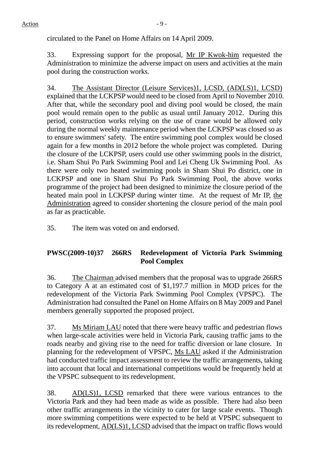circulated to the Panel on Home Affairs on 14 April 2009.

33. Expressing support for the proposal, Mr IP Kwok-him requested the Administration to minimize the adverse impact on users and activities at the main pool during the construction works.

34. The Assistant Director (Leisure Services)1, LCSD, (AD(LS)1, LCSD) explained that the LCKPSP would need to be closed from April to November 2010. After that, while the secondary pool and diving pool would be closed, the main pool would remain open to the public as usual until January 2012. During this period, construction works relying on the use of crane would be allowed only during the normal weekly maintenance period when the LCKPSP was closed so as to ensure swimmers' safety. The entire swimming pool complex would be closed again for a few months in 2012 before the whole project was completed. During the closure of the LCKPSP, users could use other swimming pools in the district, i.e. Sham Shui Po Park Swimming Pool and Lei Cheng Uk Swimming Pool. As there were only two heated swimming pools in Sham Shui Po district, one in LCKPSP and one in Sham Shui Po Park Swimming Pool, the above works programme of the project had been designed to minimize the closure period of the heated main pool in LCKPSP during winter time. At the request of Mr IP, the Administration agreed to consider shortening the closure period of the main pool as far as practicable.

35. The item was voted on and endorsed.

# **PWSC(2009-10)37 266RS Redevelopment of Victoria Park Swimming Pool Complex**

36. The Chairman advised members that the proposal was to upgrade 266RS to Category A at an estimated cost of \$1,197.7 million in MOD prices for the redevelopment of the Victoria Park Swimming Pool Complex (VPSPC). The Administration had consulted the Panel on Home Affairs on 8 May 2009 and Panel members generally supported the proposed project.

37. Ms Miriam LAU noted that there were heavy traffic and pedestrian flows when large-scale activities were held in Victoria Park, causing traffic jams to the roads nearby and giving rise to the need for traffic diversion or lane closure. In planning for the redevelopment of VPSPC, Ms LAU asked if the Administration had conducted traffic impact assessment to review the traffic arrangements, taking into account that local and international competitions would be frequently held at the VPSPC subsequent to its redevelopment.

38. AD(LS)1, LCSD remarked that there were various entrances to the Victoria Park and they had been made as wide as possible. There had also been other traffic arrangements in the vicinity to cater for large scale events. Though more swimming competitions were expected to be held at VPSPC subsequent to its redevelopment, AD(LS)1, LCSD advised that the impact on traffic flows would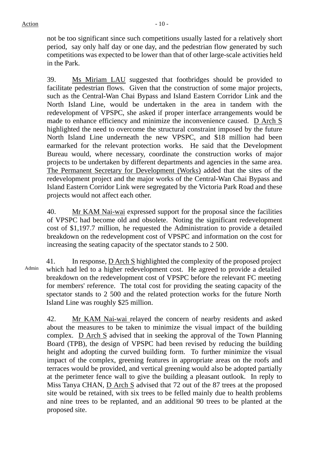not be too significant since such competitions usually lasted for a relatively short period, say only half day or one day, and the pedestrian flow generated by such competitions was expected to be lower than that of other large-scale activities held in the Park.

39. Ms Miriam LAU suggested that footbridges should be provided to facilitate pedestrian flows. Given that the construction of some major projects, such as the Central-Wan Chai Bypass and Island Eastern Corridor Link and the North Island Line, would be undertaken in the area in tandem with the redevelopment of VPSPC, she asked if proper interface arrangements would be made to enhance efficiency and minimize the inconvenience caused. D Arch S highlighted the need to overcome the structural constraint imposed by the future North Island Line underneath the new VPSPC, and \$18 million had been earmarked for the relevant protection works. He said that the Development Bureau would, where necessary, coordinate the construction works of major projects to be undertaken by different departments and agencies in the same area. The Permanent Secretary for Development (Works) added that the sites of the redevelopment project and the major works of the Central-Wan Chai Bypass and Island Eastern Corridor Link were segregated by the Victoria Park Road and these projects would not affect each other.

40. Mr KAM Nai-wai expressed support for the proposal since the facilities of VPSPC had become old and obsolete. Noting the significant redevelopment cost of \$1,197.7 million, he requested the Administration to provide a detailed breakdown on the redevelopment cost of VPSPC and information on the cost for increasing the seating capacity of the spectator stands to 2 500.

Admin 41. In response, D Arch S highlighted the complexity of the proposed project which had led to a higher redevelopment cost. He agreed to provide a detailed breakdown on the redevelopment cost of VPSPC before the relevant FC meeting for members' reference. The total cost for providing the seating capacity of the spectator stands to 2 500 and the related protection works for the future North Island Line was roughly \$25 million.

42. Mr KAM Nai-wai relayed the concern of nearby residents and asked about the measures to be taken to minimize the visual impact of the building complex. D Arch S advised that in seeking the approval of the Town Planning Board (TPB), the design of VPSPC had been revised by reducing the building height and adopting the curved building form. To further minimize the visual impact of the complex, greening features in appropriate areas on the roofs and terraces would be provided, and vertical greening would also be adopted partially at the perimeter fence wall to give the building a pleasant outlook. In reply to Miss Tanya CHAN, D Arch S advised that 72 out of the 87 trees at the proposed site would be retained, with six trees to be felled mainly due to health problems and nine trees to be replanted, and an additional 90 trees to be planted at the proposed site.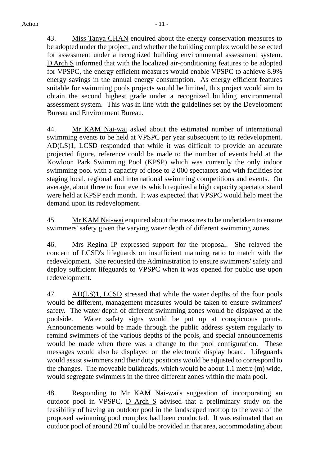43. Miss Tanya CHAN enquired about the energy conservation measures to be adopted under the project, and whether the building complex would be selected for assessment under a recognized building environmental assessment system. D Arch S informed that with the localized air-conditioning features to be adopted for VPSPC, the energy efficient measures would enable VPSPC to achieve 8.9% energy savings in the annual energy consumption. As energy efficient features suitable for swimming pools projects would be limited, this project would aim to obtain the second highest grade under a recognized building environmental assessment system. This was in line with the guidelines set by the Development Bureau and Environment Bureau.

44. Mr KAM Nai-wai asked about the estimated number of international swimming events to be held at VPSPC per year subsequent to its redevelopment. AD(LS)1, LCSD responded that while it was difficult to provide an accurate projected figure, reference could be made to the number of events held at the Kowloon Park Swimming Pool (KPSP) which was currently the only indoor swimming pool with a capacity of close to 2 000 spectators and with facilities for staging local, regional and international swimming competitions and events. On average, about three to four events which required a high capacity spectator stand were held at KPSP each month. It was expected that VPSPC would help meet the demand upon its redevelopment.

45. Mr KAM Nai-wai enquired about the measures to be undertaken to ensure swimmers' safety given the varying water depth of different swimming zones.

46. Mrs Regina IP expressed support for the proposal. She relayed the concern of LCSD's lifeguards on insufficient manning ratio to match with the redevelopment. She requested the Administration to ensure swimmers' safety and deploy sufficient lifeguards to VPSPC when it was opened for public use upon redevelopment.

47. AD(LS)1, LCSD stressed that while the water depths of the four pools would be different, management measures would be taken to ensure swimmers' safety. The water depth of different swimming zones would be displayed at the poolside. Water safety signs would be put up at conspicuous points. Announcements would be made through the public address system regularly to remind swimmers of the various depths of the pools, and special announcements would be made when there was a change to the pool configuration. These messages would also be displayed on the electronic display board. Lifeguards would assist swimmers and their duty positions would be adjusted to correspond to the changes. The moveable bulkheads, which would be about 1.1 metre (m) wide, would segregate swimmers in the three different zones within the main pool.

48. Responding to Mr KAM Nai-wai's suggestion of incorporating an outdoor pool in VPSPC, D Arch S advised that a preliminary study on the feasibility of having an outdoor pool in the landscaped rooftop to the west of the proposed swimming pool complex had been conducted. It was estimated that an outdoor pool of around  $28 \text{ m}^2$  could be provided in that area, accommodating about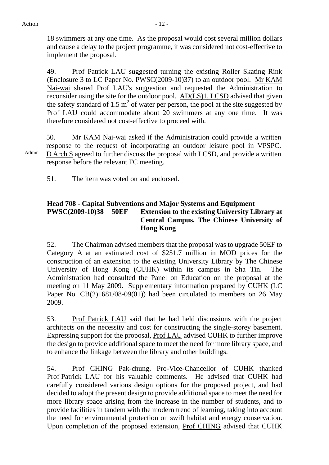18 swimmers at any one time. As the proposal would cost several million dollars and cause a delay to the project programme, it was considered not cost-effective to implement the proposal.

49. Prof Patrick LAU suggested turning the existing Roller Skating Rink (Enclosure 3 to LC Paper No. PWSC(2009-10)37) to an outdoor pool. Mr KAM Nai-wai shared Prof LAU's suggestion and requested the Administration to reconsider using the site for the outdoor pool. AD(LS)1, LCSD advised that given the safety standard of 1.5  $m^2$  of water per person, the pool at the site suggested by Prof LAU could accommodate about 20 swimmers at any one time. It was therefore considered not cost-effective to proceed with.

Admin 50. Mr KAM Nai-wai asked if the Administration could provide a written response to the request of incorporating an outdoor leisure pool in VPSPC. D Arch S agreed to further discuss the proposal with LCSD, and provide a written response before the relevant FC meeting.

51. The item was voted on and endorsed.

#### **Head 708 - Capital Subventions and Major Systems and Equipment PWSC(2009-10)38 50EF Extension to the existing University Library at Central Campus, The Chinese University of Hong Kong**

52. The Chairman advised members that the proposal was to upgrade 50EF to Category A at an estimated cost of \$251.7 million in MOD prices for the construction of an extension to the existing University Library by The Chinese University of Hong Kong (CUHK) within its campus in Sha Tin. The Administration had consulted the Panel on Education on the proposal at the meeting on 11 May 2009. Supplementary information prepared by CUHK (LC Paper No. CB(2)1681/08-09(01)) had been circulated to members on 26 May 2009.

53. Prof Patrick LAU said that he had held discussions with the project architects on the necessity and cost for constructing the single-storey basement. Expressing support for the proposal, Prof LAU advised CUHK to further improve the design to provide additional space to meet the need for more library space, and to enhance the linkage between the library and other buildings.

54. Prof CHING Pak-chung, Pro-Vice-Chancellor of CUHK thanked Prof Patrick LAU for his valuable comments. He advised that CUHK had carefully considered various design options for the proposed project, and had decided to adopt the present design to provide additional space to meet the need for more library space arising from the increase in the number of students, and to provide facilities in tandem with the modern trend of learning, taking into account the need for environmental protection on swift habitat and energy conservation. Upon completion of the proposed extension, Prof CHING advised that CUHK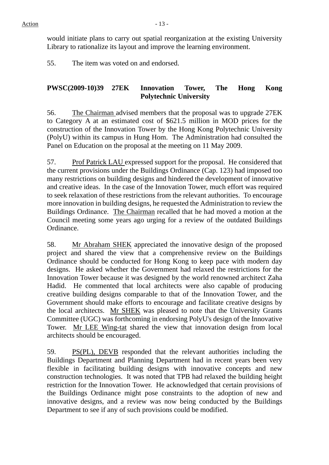would initiate plans to carry out spatial reorganization at the existing University Library to rationalize its layout and improve the learning environment.

55. The item was voted on and endorsed.

# **PWSC(2009-10)39 27EK Innovation Tower, The Hong Kong Polytechnic University**

56. The Chairman advised members that the proposal was to upgrade 27EK to Category A at an estimated cost of \$621.5 million in MOD prices for the construction of the Innovation Tower by the Hong Kong Polytechnic University (PolyU) within its campus in Hung Hom. The Administration had consulted the Panel on Education on the proposal at the meeting on 11 May 2009.

57. Prof Patrick LAU expressed support for the proposal. He considered that the current provisions under the Buildings Ordinance (Cap. 123) had imposed too many restrictions on building designs and hindered the development of innovative and creative ideas. In the case of the Innovation Tower, much effort was required to seek relaxation of these restrictions from the relevant authorities. To encourage more innovation in building designs, he requested the Administration to review the Buildings Ordinance. The Chairman recalled that he had moved a motion at the Council meeting some years ago urging for a review of the outdated Buildings Ordinance.

58. Mr Abraham SHEK appreciated the innovative design of the proposed project and shared the view that a comprehensive review on the Buildings Ordinance should be conducted for Hong Kong to keep pace with modern day designs. He asked whether the Government had relaxed the restrictions for the Innovation Tower because it was designed by the world renowned architect Zaha Hadid. He commented that local architects were also capable of producing creative building designs comparable to that of the Innovation Tower, and the Government should make efforts to encourage and facilitate creative designs by the local architects. Mr SHEK was pleased to note that the University Grants Committee (UGC) was forthcoming in endorsing PolyU's design of the Innovative Tower. Mr LEE Wing-tat shared the view that innovation design from local architects should be encouraged.

59. PS(PL), DEVB responded that the relevant authorities including the Buildings Department and Planning Department had in recent years been very flexible in facilitating building designs with innovative concepts and new construction technologies. It was noted that TPB had relaxed the building height restriction for the Innovation Tower. He acknowledged that certain provisions of the Buildings Ordinance might pose constraints to the adoption of new and innovative designs, and a review was now being conducted by the Buildings Department to see if any of such provisions could be modified.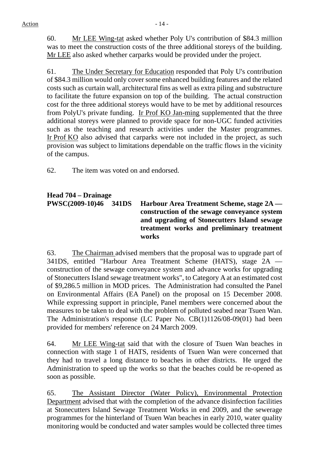60. Mr LEE Wing-tat asked whether Poly U's contribution of \$84.3 million was to meet the construction costs of the three additional storeys of the building. Mr LEE also asked whether carparks would be provided under the project.

61. The Under Secretary for Education responded that Poly U's contribution of \$84.3 million would only cover some enhanced building features and the related costs such as curtain wall, architectural fins as well as extra piling and substructure to facilitate the future expansion on top of the building. The actual construction cost for the three additional storeys would have to be met by additional resources from PolyU's private funding. Ir Prof KO Jan-ming supplemented that the three additional storeys were planned to provide space for non-UGC funded activities such as the teaching and research activities under the Master programmes. Ir Prof KO also advised that carparks were not included in the project, as such provision was subject to limitations dependable on the traffic flows in the vicinity of the campus.

62. The item was voted on and endorsed.

# **Head 704 – Drainage**

**PWSC(2009-10)46 341DS Harbour Area Treatment Scheme, stage 2A construction of the sewage conveyance system and upgrading of Stonecutters Island sewage treatment works and preliminary treatment works** 

63. The Chairman advised members that the proposal was to upgrade part of 341DS, entitled "Harbour Area Treatment Scheme (HATS), stage 2A construction of the sewage conveyance system and advance works for upgrading of Stonecutters Island sewage treatment works", to Category A at an estimated cost of \$9,286.5 million in MOD prices. The Administration had consulted the Panel on Environmental Affairs (EA Panel) on the proposal on 15 December 2008. While expressing support in principle, Panel members were concerned about the measures to be taken to deal with the problem of polluted seabed near Tsuen Wan. The Administration's response (LC Paper No. CB(1)1126/08-09(01) had been provided for members' reference on 24 March 2009.

64. Mr LEE Wing-tat said that with the closure of Tsuen Wan beaches in connection with stage 1 of HATS, residents of Tsuen Wan were concerned that they had to travel a long distance to beaches in other districts. He urged the Administration to speed up the works so that the beaches could be re-opened as soon as possible.

65. The Assistant Director (Water Policy), Environmental Protection Department advised that with the completion of the advance disinfection facilities at Stonecutters Island Sewage Treatment Works in end 2009, and the sewerage programmes for the hinterland of Tsuen Wan beaches in early 2010, water quality monitoring would be conducted and water samples would be collected three times